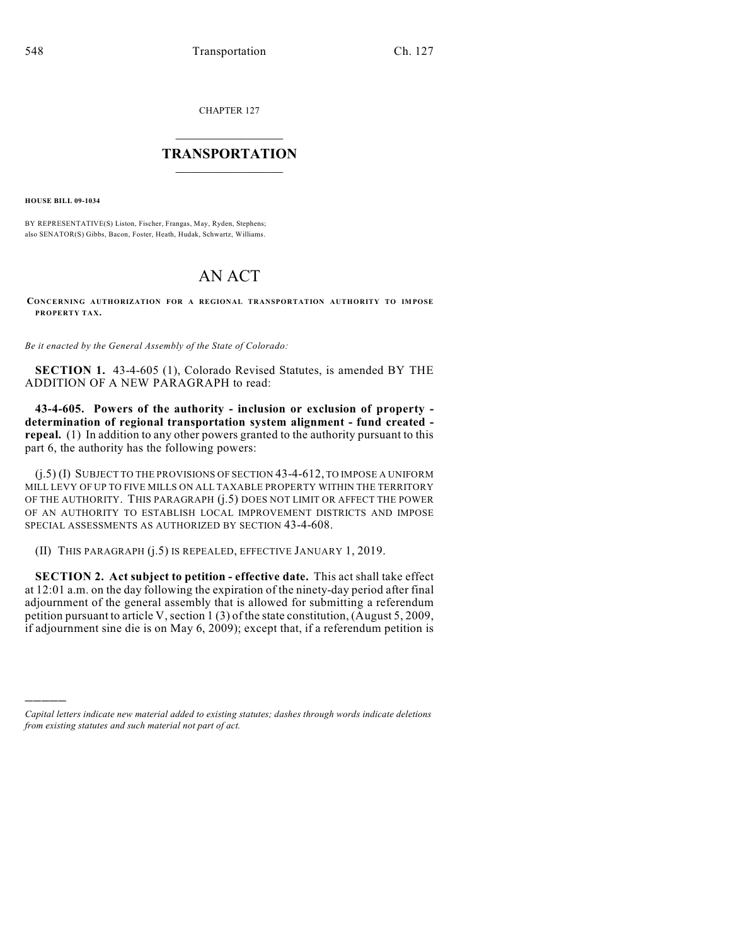CHAPTER 127

## $\mathcal{L}_\text{max}$  . The set of the set of the set of the set of the set of the set of the set of the set of the set of the set of the set of the set of the set of the set of the set of the set of the set of the set of the set **TRANSPORTATION**  $\_$   $\_$   $\_$   $\_$   $\_$   $\_$   $\_$   $\_$   $\_$

**HOUSE BILL 09-1034**

)))))

BY REPRESENTATIVE(S) Liston, Fischer, Frangas, May, Ryden, Stephens; also SENATOR(S) Gibbs, Bacon, Foster, Heath, Hudak, Schwartz, Williams.

## AN ACT

**CONCERNING AUTHORIZATION FOR A REGIONAL TRANSPORTATION AUTHORITY TO IMPOSE PROPERTY TAX.**

*Be it enacted by the General Assembly of the State of Colorado:*

**SECTION 1.** 43-4-605 (1), Colorado Revised Statutes, is amended BY THE ADDITION OF A NEW PARAGRAPH to read:

**43-4-605. Powers of the authority - inclusion or exclusion of property determination of regional transportation system alignment - fund created repeal.** (1) In addition to any other powers granted to the authority pursuant to this part 6, the authority has the following powers:

(j.5) (I) SUBJECT TO THE PROVISIONS OF SECTION 43-4-612, TO IMPOSE A UNIFORM MILL LEVY OF UP TO FIVE MILLS ON ALL TAXABLE PROPERTY WITHIN THE TERRITORY OF THE AUTHORITY. THIS PARAGRAPH (j.5) DOES NOT LIMIT OR AFFECT THE POWER OF AN AUTHORITY TO ESTABLISH LOCAL IMPROVEMENT DISTRICTS AND IMPOSE SPECIAL ASSESSMENTS AS AUTHORIZED BY SECTION 43-4-608.

(II) THIS PARAGRAPH (j.5) IS REPEALED, EFFECTIVE JANUARY 1, 2019.

**SECTION 2. Act subject to petition - effective date.** This act shall take effect at 12:01 a.m. on the day following the expiration of the ninety-day period after final adjournment of the general assembly that is allowed for submitting a referendum petition pursuant to article V, section 1 (3) of the state constitution, (August  $5, 2009$ , if adjournment sine die is on May 6, 2009); except that, if a referendum petition is

*Capital letters indicate new material added to existing statutes; dashes through words indicate deletions from existing statutes and such material not part of act.*